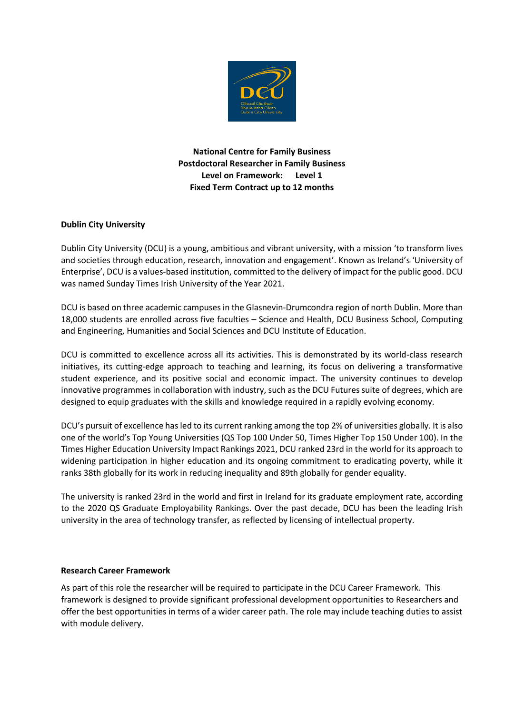

**National Centre for Family Business Postdoctoral Researcher in Family Business Level on Framework: Level 1 Fixed Term Contract up to 12 months**

# **Dublin City University**

Dublin City University (DCU) is a young, ambitious and vibrant university, with a mission 'to transform lives and societies through education, research, innovation and engagement'. Known as Ireland's 'University of Enterprise', DCU is a values-based institution, committed to the delivery of impact for the public good. DCU was named Sunday Times Irish University of the Year 2021.

DCU is based on three academic campuses in the Glasnevin-Drumcondra region of north Dublin. More than 18,000 students are enrolled across five faculties – Science and Health, DCU Business School, Computing and Engineering, Humanities and Social Sciences and DCU Institute of Education.

DCU is committed to excellence across all its activities. This is demonstrated by its world-class research initiatives, its cutting-edge approach to teaching and learning, its focus on delivering a transformative student experience, and its positive social and economic impact. The university continues to develop innovative programmes in collaboration with industry, such as the DCU Futures suite of degrees, which are designed to equip graduates with the skills and knowledge required in a rapidly evolving economy.

DCU's pursuit of excellence has led to its current ranking among the top 2% of universities globally. It is also one of the world's Top Young Universities (QS Top 100 Under 50, Times Higher Top 150 Under 100). In the Times Higher Education University Impact Rankings 2021, DCU ranked 23rd in the world for its approach to widening participation in higher education and its ongoing commitment to eradicating poverty, while it ranks 38th globally for its work in reducing inequality and 89th globally for gender equality.

The university is ranked 23rd in the world and first in Ireland for its graduate employment rate, according to the 2020 QS Graduate Employability Rankings. Over the past decade, DCU has been the leading Irish university in the area of technology transfer, as reflected by licensing of intellectual property.

# **Research Career Framework**

As part of this role the researcher will be required to participate in the DCU Career Framework. This framework is designed to provide significant professional development opportunities to Researchers and offer the best opportunities in terms of a wider career path. The role may include teaching duties to assist with module delivery.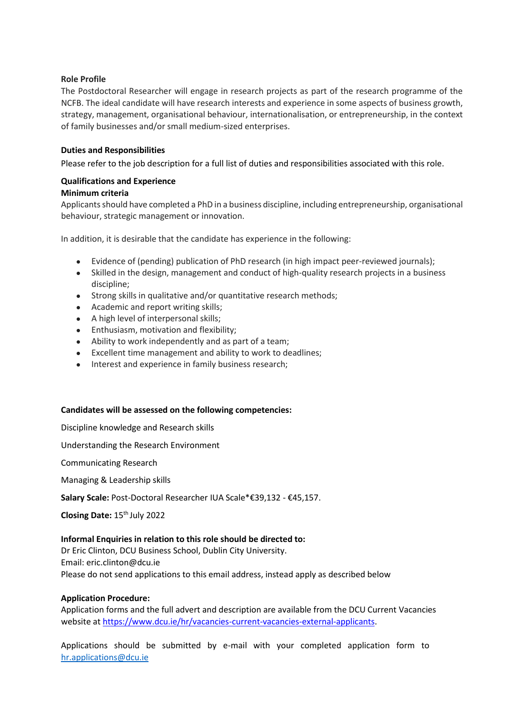# **Role Profile**

The Postdoctoral Researcher will engage in research projects as part of the research programme of the NCFB. The ideal candidate will have research interests and experience in some aspects of business growth, strategy, management, organisational behaviour, internationalisation, or entrepreneurship, in the context of family businesses and/or small medium-sized enterprises.

## **Duties and Responsibilities**

Please refer to the job description for a full list of duties and responsibilities associated with this role.

### **Qualifications and Experience**

#### **Minimum criteria**

Applicants should have completed a PhD in a business discipline, including entrepreneurship, organisational behaviour, strategic management or innovation.

In addition, it is desirable that the candidate has experience in the following:

- Evidence of (pending) publication of PhD research (in high impact peer-reviewed journals);
- Skilled in the design, management and conduct of high-quality research projects in a business discipline;
- Strong skills in qualitative and/or quantitative research methods;
- Academic and report writing skills;
- A high level of interpersonal skills;
- **•** Enthusiasm, motivation and flexibility;
- Ability to work independently and as part of a team;
- Excellent time management and ability to work to deadlines;
- Interest and experience in family business research;

#### **Candidates will be assessed on the following competencies:**

Discipline knowledge and Research skills

Understanding the Research Environment

Communicating Research

Managing & Leadership skills

**Salary Scale:** Post-Doctoral Researcher IUA Scale\*€39,132 - €45,157.

**Closing Date:** 15th July 2022

#### **Informal Enquiries in relation to this role should be directed to:**

Dr Eric Clinton, DCU Business School, Dublin City University. Email: eric.clinton@dcu.ie Please do not send applications to this email address, instead apply as described below

# **Application Procedure:**

Application forms and the full advert and description are available from the DCU Current Vacancies website at [https://www.dcu.ie/hr/vacancies-current-vacancies-external-applicants.](https://www.dcu.ie/hr/vacancies-current-vacancies-external-applicants)

Applications should be submitted by e-mail with your completed application form to hr.applications@dcu.ie